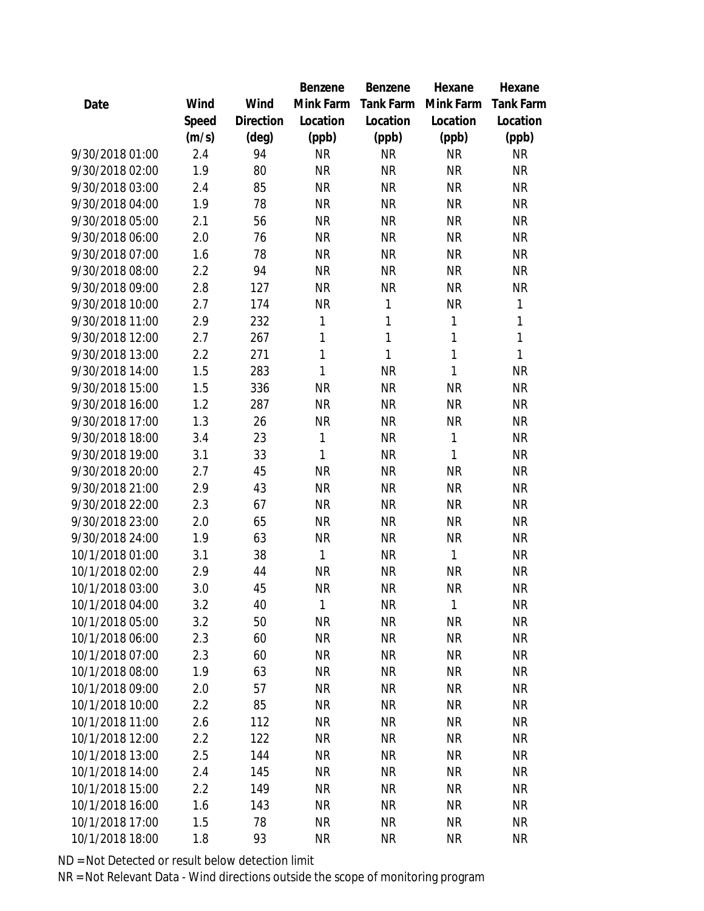|                 |       |                | <b>Benzene</b> | <b>Benzene</b> | Hexane       | Hexane           |
|-----------------|-------|----------------|----------------|----------------|--------------|------------------|
| Date            | Wind  | Wind           | Mink Farm      | Tank Farm      | Mink Farm    | <b>Tank Farm</b> |
|                 | Speed | Direction      | Location       | Location       | Location     | Location         |
|                 | (m/s) | $(\text{deg})$ | (ppb)          | (ppb)          | (ppb)        | (ppb)            |
| 9/30/2018 01:00 | 2.4   | 94             | <b>NR</b>      | <b>NR</b>      | <b>NR</b>    | <b>NR</b>        |
| 9/30/2018 02:00 | 1.9   | 80             | <b>NR</b>      | <b>NR</b>      | <b>NR</b>    | <b>NR</b>        |
| 9/30/2018 03:00 | 2.4   | 85             | <b>NR</b>      | <b>NR</b>      | <b>NR</b>    | <b>NR</b>        |
| 9/30/2018 04:00 | 1.9   | 78             | <b>NR</b>      | <b>NR</b>      | <b>NR</b>    | <b>NR</b>        |
| 9/30/2018 05:00 | 2.1   | 56             | <b>NR</b>      | <b>NR</b>      | <b>NR</b>    | <b>NR</b>        |
| 9/30/2018 06:00 | 2.0   | 76             | <b>NR</b>      | <b>NR</b>      | <b>NR</b>    | <b>NR</b>        |
| 9/30/2018 07:00 | 1.6   | 78             | <b>NR</b>      | <b>NR</b>      | <b>NR</b>    | <b>NR</b>        |
| 9/30/2018 08:00 | 2.2   | 94             | <b>NR</b>      | <b>NR</b>      | <b>NR</b>    | <b>NR</b>        |
| 9/30/2018 09:00 | 2.8   | 127            | <b>NR</b>      | <b>NR</b>      | <b>NR</b>    | <b>NR</b>        |
| 9/30/2018 10:00 | 2.7   | 174            | <b>NR</b>      | 1              | <b>NR</b>    | $\mathbf{1}$     |
| 9/30/2018 11:00 | 2.9   | 232            | $\mathbf{1}$   | 1              | $\mathbf{1}$ | 1                |
| 9/30/2018 12:00 | 2.7   | 267            | 1              | 1              | $\mathbf{1}$ | $\mathbf{1}$     |
| 9/30/2018 13:00 | 2.2   | 271            | 1              | 1              | $\mathbf{1}$ | 1                |
| 9/30/2018 14:00 | 1.5   | 283            | 1              | <b>NR</b>      | 1            | <b>NR</b>        |
| 9/30/2018 15:00 | 1.5   | 336            | <b>NR</b>      | <b>NR</b>      | <b>NR</b>    | <b>NR</b>        |
| 9/30/2018 16:00 | 1.2   | 287            | <b>NR</b>      | <b>NR</b>      | <b>NR</b>    | <b>NR</b>        |
| 9/30/2018 17:00 | 1.3   | 26             | <b>NR</b>      | <b>NR</b>      | <b>NR</b>    | <b>NR</b>        |
| 9/30/2018 18:00 | 3.4   | 23             | $\mathbf{1}$   | <b>NR</b>      | $\mathbf{1}$ | <b>NR</b>        |
| 9/30/2018 19:00 | 3.1   | 33             | 1              | <b>NR</b>      | 1            | <b>NR</b>        |
| 9/30/2018 20:00 | 2.7   | 45             | <b>NR</b>      | <b>NR</b>      | <b>NR</b>    | <b>NR</b>        |
| 9/30/2018 21:00 | 2.9   | 43             | <b>NR</b>      | <b>NR</b>      | <b>NR</b>    | <b>NR</b>        |
| 9/30/2018 22:00 | 2.3   | 67             | <b>NR</b>      | <b>NR</b>      | <b>NR</b>    | <b>NR</b>        |
| 9/30/2018 23:00 | 2.0   | 65             | <b>NR</b>      | <b>NR</b>      | <b>NR</b>    | <b>NR</b>        |
| 9/30/2018 24:00 | 1.9   | 63             | <b>NR</b>      | <b>NR</b>      | <b>NR</b>    | <b>NR</b>        |
| 10/1/2018 01:00 | 3.1   | 38             | 1              | <b>NR</b>      | 1            | <b>NR</b>        |
| 10/1/2018 02:00 | 2.9   | 44             | <b>NR</b>      | <b>NR</b>      | <b>NR</b>    | <b>NR</b>        |
| 10/1/2018 03:00 | 3.0   | 45             | <b>NR</b>      | <b>NR</b>      | <b>NR</b>    | <b>NR</b>        |
| 10/1/2018 04:00 | 3.2   | 40             | 1              | <b>NR</b>      | $\mathbf{1}$ | <b>NR</b>        |
| 10/1/2018 05:00 | 3.2   | 50             | <b>NR</b>      | <b>NR</b>      | <b>NR</b>    | <b>NR</b>        |
| 10/1/2018 06:00 | 2.3   | 60             | <b>NR</b>      | <b>NR</b>      | <b>NR</b>    | <b>NR</b>        |
| 10/1/2018 07:00 | 2.3   | 60             | <b>NR</b>      | <b>NR</b>      | <b>NR</b>    | <b>NR</b>        |
| 10/1/2018 08:00 | 1.9   | 63             | <b>NR</b>      | <b>NR</b>      | <b>NR</b>    | <b>NR</b>        |
| 10/1/2018 09:00 | 2.0   | 57             | <b>NR</b>      | <b>NR</b>      | <b>NR</b>    | <b>NR</b>        |
| 10/1/2018 10:00 | 2.2   | 85             | <b>NR</b>      | <b>NR</b>      | <b>NR</b>    | <b>NR</b>        |
| 10/1/2018 11:00 | 2.6   | 112            | <b>NR</b>      | <b>NR</b>      | <b>NR</b>    | <b>NR</b>        |
| 10/1/2018 12:00 | 2.2   | 122            | <b>NR</b>      | <b>NR</b>      | <b>NR</b>    | <b>NR</b>        |
| 10/1/2018 13:00 | 2.5   | 144            | <b>NR</b>      | <b>NR</b>      | <b>NR</b>    | <b>NR</b>        |
| 10/1/2018 14:00 | 2.4   | 145            | <b>NR</b>      | <b>NR</b>      | <b>NR</b>    | <b>NR</b>        |
| 10/1/2018 15:00 | 2.2   | 149            | <b>NR</b>      | <b>NR</b>      | <b>NR</b>    | <b>NR</b>        |
| 10/1/2018 16:00 | 1.6   | 143            | <b>NR</b>      | <b>NR</b>      | <b>NR</b>    | <b>NR</b>        |
| 10/1/2018 17:00 | 1.5   | 78             | <b>NR</b>      | <b>NR</b>      | <b>NR</b>    | <b>NR</b>        |
| 10/1/2018 18:00 | 1.8   | 93             | <b>NR</b>      | <b>NR</b>      | <b>NR</b>    | <b>NR</b>        |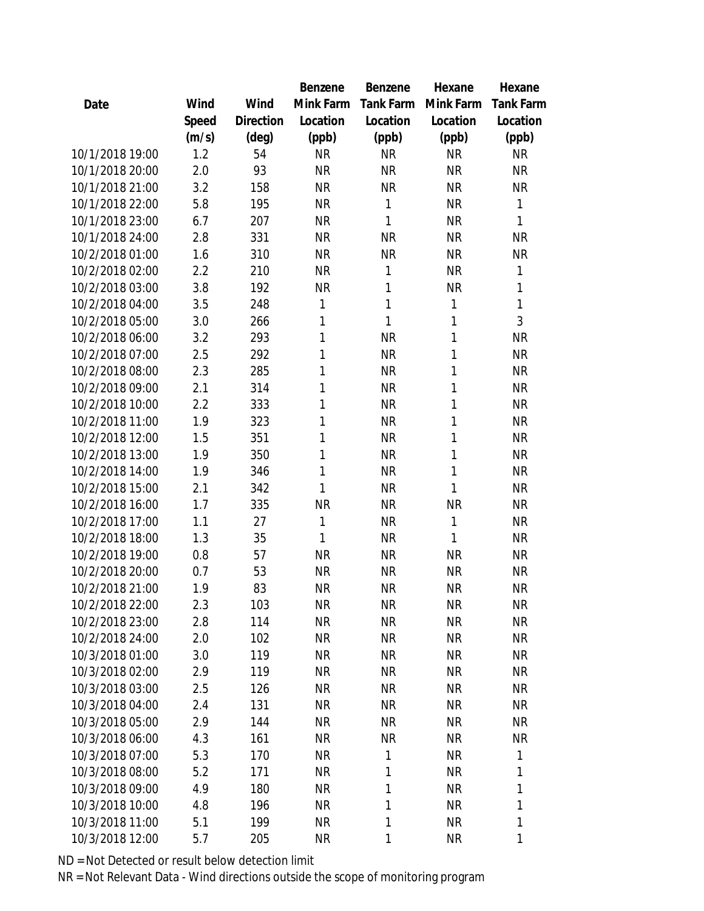|                 |       |           | <b>Benzene</b> | Benzene   | Hexane       | Hexane           |
|-----------------|-------|-----------|----------------|-----------|--------------|------------------|
| Date            | Wind  | Wind      | Mink Farm      | Tank Farm | Mink Farm    | <b>Tank Farm</b> |
|                 | Speed | Direction | Location       | Location  | Location     | Location         |
|                 | (m/s) | (deg)     | (ppb)          | (ppb)     | (ppb)        | (ppb)            |
| 10/1/2018 19:00 | 1.2   | 54        | <b>NR</b>      | <b>NR</b> | <b>NR</b>    | <b>NR</b>        |
| 10/1/2018 20:00 | 2.0   | 93        | <b>NR</b>      | <b>NR</b> | <b>NR</b>    | <b>NR</b>        |
| 10/1/2018 21:00 | 3.2   | 158       | <b>NR</b>      | <b>NR</b> | <b>NR</b>    | <b>NR</b>        |
| 10/1/2018 22:00 | 5.8   | 195       | <b>NR</b>      | 1         | <b>NR</b>    | 1                |
| 10/1/2018 23:00 | 6.7   | 207       | <b>NR</b>      | 1         | <b>NR</b>    | 1                |
| 10/1/2018 24:00 | 2.8   | 331       | <b>NR</b>      | <b>NR</b> | <b>NR</b>    | <b>NR</b>        |
| 10/2/2018 01:00 | 1.6   | 310       | <b>NR</b>      | <b>NR</b> | <b>NR</b>    | <b>NR</b>        |
| 10/2/2018 02:00 | 2.2   | 210       | <b>NR</b>      | 1         | <b>NR</b>    | 1                |
| 10/2/2018 03:00 | 3.8   | 192       | <b>NR</b>      | 1         | <b>NR</b>    | 1                |
| 10/2/2018 04:00 | 3.5   | 248       | 1              | 1         | 1            | 1                |
| 10/2/2018 05:00 | 3.0   | 266       | $\mathbf{1}$   | 1         | 1            | 3                |
| 10/2/2018 06:00 | 3.2   | 293       | 1              | <b>NR</b> | 1            | <b>NR</b>        |
| 10/2/2018 07:00 | 2.5   | 292       | 1              | <b>NR</b> | 1            | <b>NR</b>        |
| 10/2/2018 08:00 | 2.3   | 285       | 1              | <b>NR</b> | 1            | <b>NR</b>        |
| 10/2/2018 09:00 | 2.1   | 314       | 1              | <b>NR</b> | 1            | <b>NR</b>        |
| 10/2/2018 10:00 | 2.2   | 333       | $\mathbf{1}$   | <b>NR</b> | 1            | <b>NR</b>        |
| 10/2/2018 11:00 | 1.9   | 323       | 1              | <b>NR</b> | 1            | <b>NR</b>        |
| 10/2/2018 12:00 | 1.5   | 351       | 1              | <b>NR</b> | 1            | <b>NR</b>        |
| 10/2/2018 13:00 | 1.9   | 350       | 1              | <b>NR</b> | 1            | <b>NR</b>        |
| 10/2/2018 14:00 | 1.9   | 346       | $\mathbf{1}$   | <b>NR</b> | 1            | <b>NR</b>        |
| 10/2/2018 15:00 | 2.1   | 342       | $\mathbf{1}$   | <b>NR</b> | $\mathbf{1}$ | <b>NR</b>        |
| 10/2/2018 16:00 | 1.7   | 335       | <b>NR</b>      | <b>NR</b> | <b>NR</b>    | <b>NR</b>        |
| 10/2/2018 17:00 | 1.1   | 27        | 1              | <b>NR</b> | 1            | <b>NR</b>        |
| 10/2/2018 18:00 | 1.3   | 35        | 1              | <b>NR</b> | 1            | <b>NR</b>        |
| 10/2/2018 19:00 | 0.8   | 57        | <b>NR</b>      | <b>NR</b> | <b>NR</b>    | <b>NR</b>        |
| 10/2/2018 20:00 | 0.7   | 53        | <b>NR</b>      | <b>NR</b> | <b>NR</b>    | <b>NR</b>        |
| 10/2/2018 21:00 | 1.9   | 83        | <b>NR</b>      | <b>NR</b> | <b>NR</b>    | <b>NR</b>        |
| 10/2/2018 22:00 | 2.3   | 103       | <b>NR</b>      | <b>NR</b> | NR           | <b>NR</b>        |
| 10/2/2018 23:00 | 2.8   | 114       | <b>NR</b>      | <b>NR</b> | <b>NR</b>    | <b>NR</b>        |
| 10/2/2018 24:00 | 2.0   | 102       | <b>NR</b>      | <b>NR</b> | <b>NR</b>    | <b>NR</b>        |
| 10/3/2018 01:00 | 3.0   | 119       | <b>NR</b>      | <b>NR</b> | <b>NR</b>    | <b>NR</b>        |
| 10/3/2018 02:00 | 2.9   | 119       | <b>NR</b>      | <b>NR</b> | <b>NR</b>    | <b>NR</b>        |
| 10/3/2018 03:00 | 2.5   | 126       | <b>NR</b>      | <b>NR</b> | <b>NR</b>    | <b>NR</b>        |
| 10/3/2018 04:00 | 2.4   | 131       | <b>NR</b>      | <b>NR</b> | <b>NR</b>    | <b>NR</b>        |
| 10/3/2018 05:00 | 2.9   | 144       | <b>NR</b>      | <b>NR</b> | <b>NR</b>    | <b>NR</b>        |
| 10/3/2018 06:00 | 4.3   | 161       | <b>NR</b>      | <b>NR</b> | <b>NR</b>    | <b>NR</b>        |
| 10/3/2018 07:00 | 5.3   | 170       | <b>NR</b>      | 1         | <b>NR</b>    | 1                |
| 10/3/2018 08:00 | 5.2   | 171       | <b>NR</b>      | 1         | <b>NR</b>    | 1                |
| 10/3/2018 09:00 | 4.9   | 180       | <b>NR</b>      | 1         | <b>NR</b>    | 1                |
| 10/3/2018 10:00 | 4.8   | 196       | <b>NR</b>      | 1         | <b>NR</b>    | 1                |
| 10/3/2018 11:00 | 5.1   | 199       | <b>NR</b>      | 1         | <b>NR</b>    | 1                |
| 10/3/2018 12:00 | 5.7   | 205       | <b>NR</b>      | 1         | <b>NR</b>    | 1                |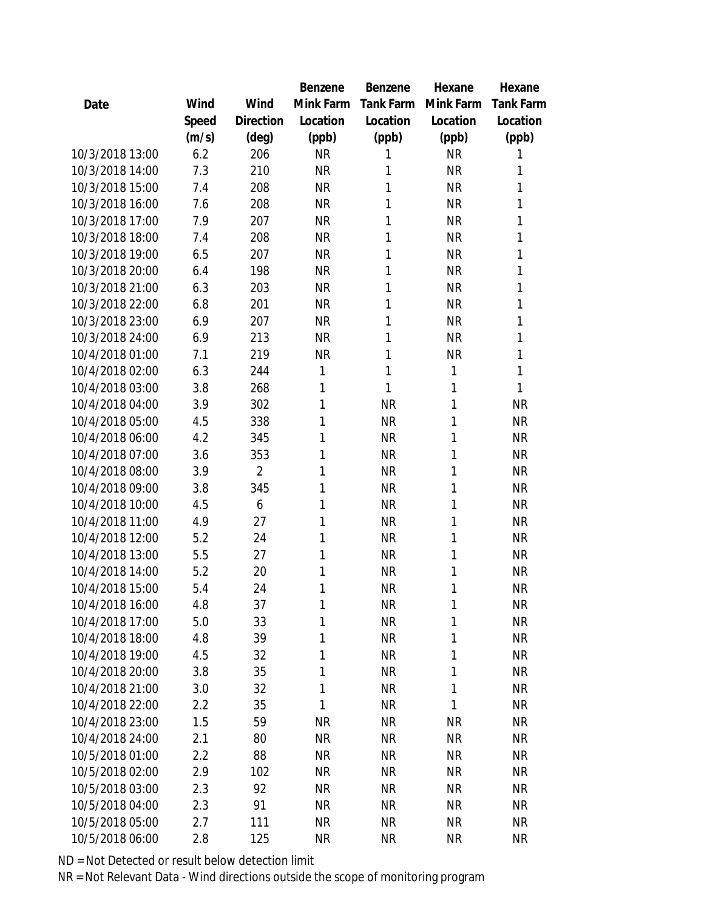|                 |       |                | Benzene   | Benzene   | Hexane    | Hexane    |
|-----------------|-------|----------------|-----------|-----------|-----------|-----------|
| Date            | Wind  | Wind           | Mink Farm | Tank Farm | Mink Farm | Tank Farm |
|                 | Speed | Direction      | Location  | Location  | Location  | Location  |
|                 | (m/s) | (deg)          | (ppb)     | (ppb)     | (ppb)     | (ppb)     |
| 10/3/2018 13:00 | 6.2   | 206            | <b>NR</b> | 1         | <b>NR</b> | 1         |
| 10/3/2018 14:00 | 7.3   | 210            | <b>NR</b> | 1         | <b>NR</b> | 1         |
| 10/3/2018 15:00 | 7.4   | 208            | <b>NR</b> | 1         | <b>NR</b> | 1         |
| 10/3/2018 16:00 | 7.6   | 208            | <b>NR</b> | 1         | <b>NR</b> | 1         |
| 10/3/2018 17:00 | 7.9   | 207            | <b>NR</b> | 1         | <b>NR</b> | 1         |
| 10/3/2018 18:00 | 7.4   | 208            | <b>NR</b> | 1         | <b>NR</b> | 1         |
| 10/3/2018 19:00 | 6.5   | 207            | <b>NR</b> | 1         | <b>NR</b> | 1         |
| 10/3/2018 20:00 | 6.4   | 198            | <b>NR</b> | 1         | <b>NR</b> | 1         |
| 10/3/2018 21:00 | 6.3   | 203            | <b>NR</b> | 1         | <b>NR</b> | 1         |
| 10/3/2018 22:00 | 6.8   | 201            | <b>NR</b> | 1         | <b>NR</b> | 1         |
| 10/3/2018 23:00 | 6.9   | 207            | <b>NR</b> | 1         | <b>NR</b> | 1         |
| 10/3/2018 24:00 | 6.9   | 213            | <b>NR</b> | 1         | <b>NR</b> | 1         |
| 10/4/2018 01:00 | 7.1   | 219            | <b>NR</b> | 1         | <b>NR</b> | 1         |
| 10/4/2018 02:00 | 6.3   | 244            | 1         | 1         | 1         | 1         |
| 10/4/2018 03:00 | 3.8   | 268            | 1         | 1         | 1         | 1         |
| 10/4/2018 04:00 | 3.9   | 302            | 1         | <b>NR</b> | 1         | <b>NR</b> |
| 10/4/2018 05:00 | 4.5   | 338            | 1         | <b>NR</b> | 1         | <b>NR</b> |
| 10/4/2018 06:00 | 4.2   | 345            | 1         | <b>NR</b> | 1         | <b>NR</b> |
| 10/4/2018 07:00 | 3.6   | 353            | 1         | <b>NR</b> | 1         | <b>NR</b> |
| 10/4/2018 08:00 | 3.9   | $\overline{2}$ | 1         | <b>NR</b> | 1         | <b>NR</b> |
| 10/4/2018 09:00 | 3.8   | 345            | 1         | <b>NR</b> | 1         | <b>NR</b> |
| 10/4/2018 10:00 | 4.5   | 6              | 1         | <b>NR</b> | 1         | <b>NR</b> |
| 10/4/2018 11:00 | 4.9   | 27             | 1         | <b>NR</b> | 1         | <b>NR</b> |
| 10/4/2018 12:00 | 5.2   | 24             | 1         | <b>NR</b> | 1         | <b>NR</b> |
| 10/4/2018 13:00 | 5.5   | 27             | 1         | <b>NR</b> | 1         | <b>NR</b> |
| 10/4/2018 14:00 | 5.2   | 20             | 1         | <b>NR</b> | 1         | <b>NR</b> |
| 10/4/2018 15:00 | 5.4   | 24             | 1         | <b>NR</b> | 1         | <b>NR</b> |
| 10/4/2018 16:00 | 4.8   | 37             | 1         | ΝR        | 1         | <b>NR</b> |
| 10/4/2018 17:00 | 5.0   | 33             | 1         | <b>NR</b> | 1         | <b>NR</b> |
| 10/4/2018 18:00 | 4.8   | 39             | 1         | <b>NR</b> | 1         | <b>NR</b> |
| 10/4/2018 19:00 | 4.5   | 32             | 1         | <b>NR</b> | 1         | <b>NR</b> |
| 10/4/2018 20:00 | 3.8   | 35             | 1         | <b>NR</b> | 1         | <b>NR</b> |
| 10/4/2018 21:00 | 3.0   | 32             | 1         | <b>NR</b> | 1         | <b>NR</b> |
| 10/4/2018 22:00 | 2.2   | 35             | 1         | <b>NR</b> | 1         | <b>NR</b> |
| 10/4/2018 23:00 | 1.5   | 59             | <b>NR</b> | <b>NR</b> | <b>NR</b> | <b>NR</b> |
| 10/4/2018 24:00 | 2.1   | 80             | <b>NR</b> | <b>NR</b> | <b>NR</b> | <b>NR</b> |
| 10/5/2018 01:00 | 2.2   | 88             | <b>NR</b> | <b>NR</b> | <b>NR</b> | <b>NR</b> |
| 10/5/2018 02:00 | 2.9   | 102            | <b>NR</b> | <b>NR</b> | <b>NR</b> | <b>NR</b> |
| 10/5/2018 03:00 | 2.3   | 92             | <b>NR</b> | <b>NR</b> | <b>NR</b> | <b>NR</b> |
| 10/5/2018 04:00 | 2.3   | 91             | <b>NR</b> | <b>NR</b> | <b>NR</b> | <b>NR</b> |
| 10/5/2018 05:00 | 2.7   | 111            | <b>NR</b> | <b>NR</b> | <b>NR</b> | <b>NR</b> |
| 10/5/2018 06:00 | 2.8   | 125            | <b>NR</b> | <b>NR</b> | <b>NR</b> | <b>NR</b> |